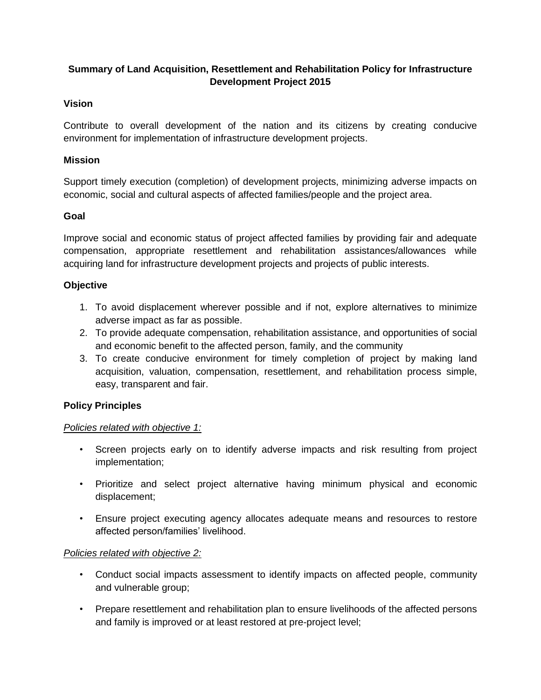# **Summary of Land Acquisition, Resettlement and Rehabilitation Policy for Infrastructure Development Project 2015**

## **Vision**

Contribute to overall development of the nation and its citizens by creating conducive environment for implementation of infrastructure development projects.

## **Mission**

Support timely execution (completion) of development projects, minimizing adverse impacts on economic, social and cultural aspects of affected families/people and the project area.

## **Goal**

Improve social and economic status of project affected families by providing fair and adequate compensation, appropriate resettlement and rehabilitation assistances/allowances while acquiring land for infrastructure development projects and projects of public interests.

## **Objective**

- 1. To avoid displacement wherever possible and if not, explore alternatives to minimize adverse impact as far as possible.
- 2. To provide adequate compensation, rehabilitation assistance, and opportunities of social and economic benefit to the affected person, family, and the community
- 3. To create conducive environment for timely completion of project by making land acquisition, valuation, compensation, resettlement, and rehabilitation process simple, easy, transparent and fair.

#### **Policy Principles**

#### *Policies related with objective 1:*

- Screen projects early on to identify adverse impacts and risk resulting from project implementation;
- Prioritize and select project alternative having minimum physical and economic displacement;
- Ensure project executing agency allocates adequate means and resources to restore affected person/families' livelihood.

## *Policies related with objective 2:*

- Conduct social impacts assessment to identify impacts on affected people, community and vulnerable group;
- Prepare resettlement and rehabilitation plan to ensure livelihoods of the affected persons and family is improved or at least restored at pre-project level;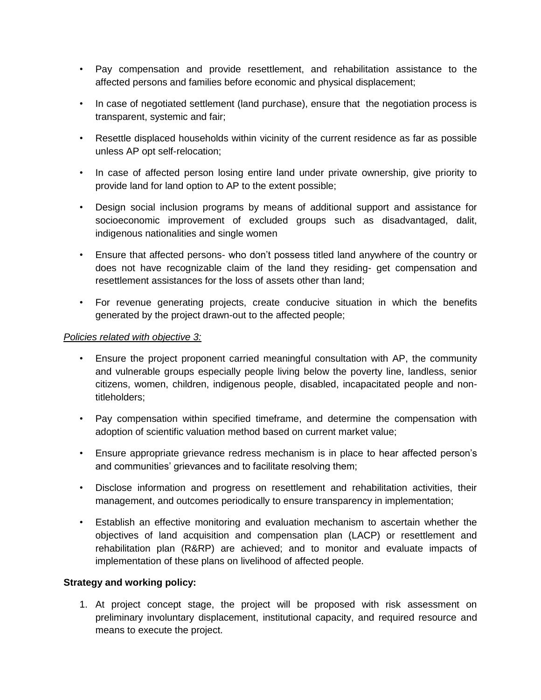- Pay compensation and provide resettlement, and rehabilitation assistance to the affected persons and families before economic and physical displacement;
- In case of negotiated settlement (land purchase), ensure that the negotiation process is transparent, systemic and fair;
- Resettle displaced households within vicinity of the current residence as far as possible unless AP opt self-relocation;
- In case of affected person losing entire land under private ownership, give priority to provide land for land option to AP to the extent possible;
- Design social inclusion programs by means of additional support and assistance for socioeconomic improvement of excluded groups such as disadvantaged, dalit, indigenous nationalities and single women
- Ensure that affected persons- who don't possess titled land anywhere of the country or does not have recognizable claim of the land they residing- get compensation and resettlement assistances for the loss of assets other than land;
- For revenue generating projects, create conducive situation in which the benefits generated by the project drawn-out to the affected people;

#### *Policies related with objective 3:*

- Ensure the project proponent carried meaningful consultation with AP, the community and vulnerable groups especially people living below the poverty line, landless, senior citizens, women, children, indigenous people, disabled, incapacitated people and nontitleholders;
- Pay compensation within specified timeframe, and determine the compensation with adoption of scientific valuation method based on current market value;
- Ensure appropriate grievance redress mechanism is in place to hear affected person's and communities' grievances and to facilitate resolving them;
- Disclose information and progress on resettlement and rehabilitation activities, their management, and outcomes periodically to ensure transparency in implementation;
- Establish an effective monitoring and evaluation mechanism to ascertain whether the objectives of land acquisition and compensation plan (LACP) or resettlement and rehabilitation plan (R&RP) are achieved; and to monitor and evaluate impacts of implementation of these plans on livelihood of affected people.

#### **Strategy and working policy:**

1. At project concept stage, the project will be proposed with risk assessment on preliminary involuntary displacement, institutional capacity, and required resource and means to execute the project.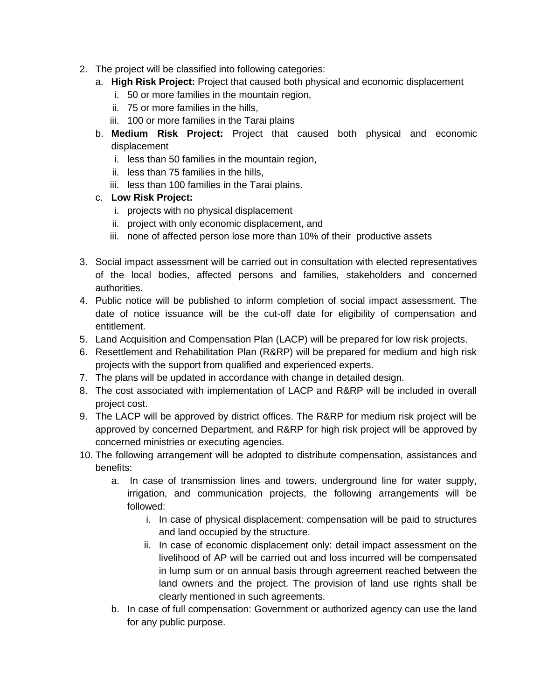- 2. The project will be classified into following categories:
	- a. **High Risk Project:** Project that caused both physical and economic displacement
		- i. 50 or more families in the mountain region,
		- ii. 75 or more families in the hills,
		- iii. 100 or more families in the Tarai plains
	- b. **Medium Risk Project:** Project that caused both physical and economic displacement
		- i. less than 50 families in the mountain region,
		- ii. less than 75 families in the hills,
		- iii. less than 100 families in the Tarai plains.

# c. **Low Risk Project:**

- i. projects with no physical displacement
- ii. project with only economic displacement, and
- iii. none of affected person lose more than 10% of their productive assets
- 3. Social impact assessment will be carried out in consultation with elected representatives of the local bodies, affected persons and families, stakeholders and concerned authorities.
- 4. Public notice will be published to inform completion of social impact assessment. The date of notice issuance will be the cut-off date for eligibility of compensation and entitlement.
- 5. Land Acquisition and Compensation Plan (LACP) will be prepared for low risk projects.
- 6. Resettlement and Rehabilitation Plan (R&RP) will be prepared for medium and high risk projects with the support from qualified and experienced experts.
- 7. The plans will be updated in accordance with change in detailed design.
- 8. The cost associated with implementation of LACP and R&RP will be included in overall project cost.
- 9. The LACP will be approved by district offices. The R&RP for medium risk project will be approved by concerned Department, and R&RP for high risk project will be approved by concerned ministries or executing agencies.
- 10. The following arrangement will be adopted to distribute compensation, assistances and benefits:
	- a. In case of transmission lines and towers, underground line for water supply, irrigation, and communication projects, the following arrangements will be followed:
		- i. In case of physical displacement: compensation will be paid to structures and land occupied by the structure.
		- ii. In case of economic displacement only: detail impact assessment on the livelihood of AP will be carried out and loss incurred will be compensated in lump sum or on annual basis through agreement reached between the land owners and the project. The provision of land use rights shall be clearly mentioned in such agreements.
	- b. In case of full compensation: Government or authorized agency can use the land for any public purpose.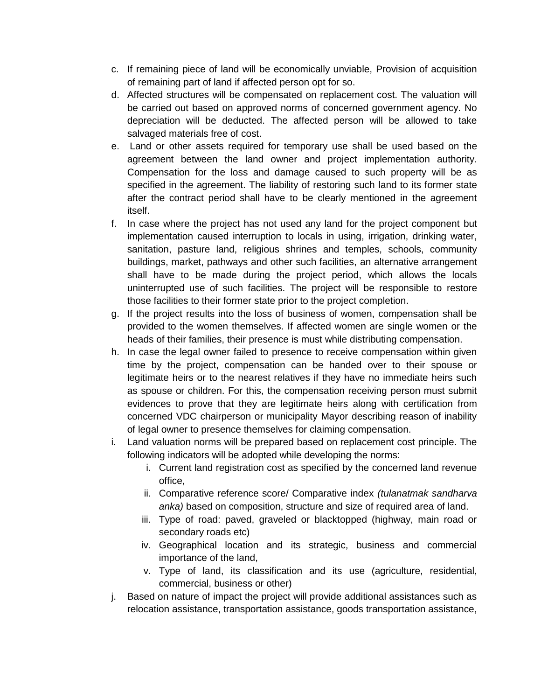- c. If remaining piece of land will be economically unviable, Provision of acquisition of remaining part of land if affected person opt for so.
- d. Affected structures will be compensated on replacement cost. The valuation will be carried out based on approved norms of concerned government agency. No depreciation will be deducted. The affected person will be allowed to take salvaged materials free of cost.
- e. Land or other assets required for temporary use shall be used based on the agreement between the land owner and project implementation authority. Compensation for the loss and damage caused to such property will be as specified in the agreement. The liability of restoring such land to its former state after the contract period shall have to be clearly mentioned in the agreement itself.
- f. In case where the project has not used any land for the project component but implementation caused interruption to locals in using, irrigation, drinking water, sanitation, pasture land, religious shrines and temples, schools, community buildings, market, pathways and other such facilities, an alternative arrangement shall have to be made during the project period, which allows the locals uninterrupted use of such facilities. The project will be responsible to restore those facilities to their former state prior to the project completion.
- g. If the project results into the loss of business of women, compensation shall be provided to the women themselves. If affected women are single women or the heads of their families, their presence is must while distributing compensation.
- h. In case the legal owner failed to presence to receive compensation within given time by the project, compensation can be handed over to their spouse or legitimate heirs or to the nearest relatives if they have no immediate heirs such as spouse or children. For this, the compensation receiving person must submit evidences to prove that they are legitimate heirs along with certification from concerned VDC chairperson or municipality Mayor describing reason of inability of legal owner to presence themselves for claiming compensation.
- i. Land valuation norms will be prepared based on replacement cost principle. The following indicators will be adopted while developing the norms:
	- i. Current land registration cost as specified by the concerned land revenue office,
	- ii. Comparative reference score/ Comparative index *(tulanatmak sandharva anka)* based on composition, structure and size of required area of land.
	- iii. Type of road: paved, graveled or blacktopped (highway, main road or secondary roads etc)
	- iv. Geographical location and its strategic, business and commercial importance of the land,
	- v. Type of land, its classification and its use (agriculture, residential, commercial, business or other)
- j. Based on nature of impact the project will provide additional assistances such as relocation assistance, transportation assistance, goods transportation assistance,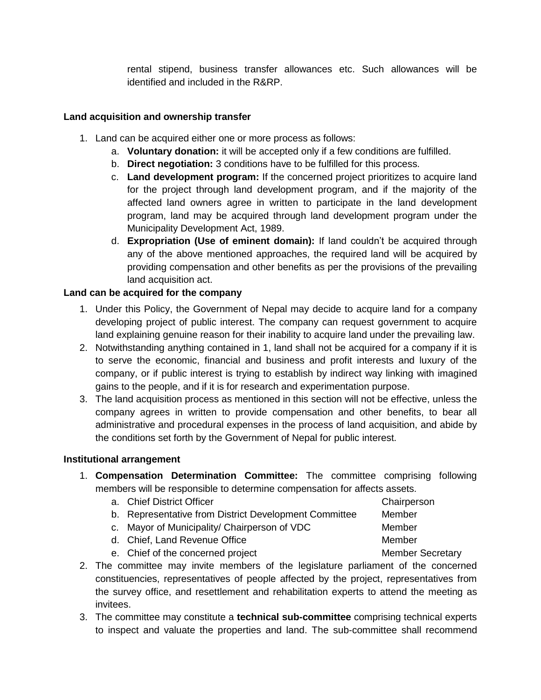rental stipend, business transfer allowances etc. Such allowances will be identified and included in the R&RP.

#### **Land acquisition and ownership transfer**

- 1. Land can be acquired either one or more process as follows:
	- a. **Voluntary donation:** it will be accepted only if a few conditions are fulfilled.
	- b. **Direct negotiation:** 3 conditions have to be fulfilled for this process.
	- c. **Land development program:** If the concerned project prioritizes to acquire land for the project through land development program, and if the majority of the affected land owners agree in written to participate in the land development program, land may be acquired through land development program under the Municipality Development Act, 1989.
	- d. **Expropriation (Use of eminent domain):** If land couldn't be acquired through any of the above mentioned approaches, the required land will be acquired by providing compensation and other benefits as per the provisions of the prevailing land acquisition act.

## **Land can be acquired for the company**

- 1. Under this Policy, the Government of Nepal may decide to acquire land for a company developing project of public interest. The company can request government to acquire land explaining genuine reason for their inability to acquire land under the prevailing law.
- 2. Notwithstanding anything contained in 1, land shall not be acquired for a company if it is to serve the economic, financial and business and profit interests and luxury of the company, or if public interest is trying to establish by indirect way linking with imagined gains to the people, and if it is for research and experimentation purpose.
- 3. The land acquisition process as mentioned in this section will not be effective, unless the company agrees in written to provide compensation and other benefits, to bear all administrative and procedural expenses in the process of land acquisition, and abide by the conditions set forth by the Government of Nepal for public interest.

#### **Institutional arrangement**

- 1. **Compensation Determination Committee:** The committee comprising following members will be responsible to determine compensation for affects assets.
	- a. Chief District Officer Chairperson Chairperson b. Representative from District Development Committee Member c. Mayor of Municipality/ Chairperson of VDC Member
	-
	- d. Chief, Land Revenue Office Member
		-
	- e. Chief of the concerned project example and the Member Secretary
- 2. The committee may invite members of the legislature parliament of the concerned constituencies, representatives of people affected by the project, representatives from the survey office, and resettlement and rehabilitation experts to attend the meeting as invitees.
- 3. The committee may constitute a **technical sub-committee** comprising technical experts to inspect and valuate the properties and land. The sub-committee shall recommend